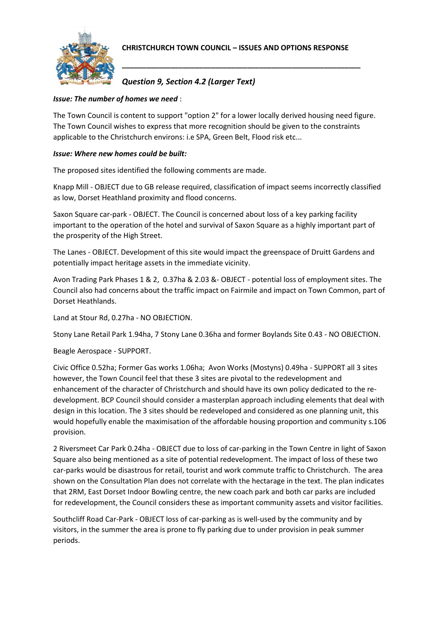

**\_\_\_\_\_\_\_\_\_\_\_\_\_\_\_\_\_\_\_\_\_\_\_\_\_\_\_\_\_\_\_\_\_\_\_\_\_\_\_\_\_\_\_\_\_\_\_\_\_\_\_\_\_\_\_\_\_\_\_**

## *Question 9, Section 4.2 (Larger Text)*

## *Issue: The number of homes we need* :

The Town Council is content to support "option 2" for a lower locally derived housing need figure. The Town Council wishes to express that more recognition should be given to the constraints applicable to the Christchurch environs: i.e SPA, Green Belt, Flood risk etc...

## *Issue: Where new homes could be built:*

The proposed sites identified the following comments are made.

Knapp Mill - OBJECT due to GB release required, classification of impact seems incorrectly classified as low, Dorset Heathland proximity and flood concerns.

Saxon Square car-park - OBJECT. The Council is concerned about loss of a key parking facility important to the operation of the hotel and survival of Saxon Square as a highly important part of the prosperity of the High Street.

The Lanes - OBJECT. Development of this site would impact the greenspace of Druitt Gardens and potentially impact heritage assets in the immediate vicinity.

Avon Trading Park Phases 1 & 2, 0.37ha & 2.03 &- OBJECT - potential loss of employment sites. The Council also had concerns about the traffic impact on Fairmile and impact on Town Common, part of Dorset Heathlands.

Land at Stour Rd, 0.27ha - NO OBJECTION.

Stony Lane Retail Park 1.94ha, 7 Stony Lane 0.36ha and former Boylands Site 0.43 - NO OBJECTION.

Beagle Aerospace - SUPPORT.

Civic Office 0.52ha; Former Gas works 1.06ha; Avon Works (Mostyns) 0.49ha - SUPPORT all 3 sites however, the Town Council feel that these 3 sites are pivotal to the redevelopment and enhancement of the character of Christchurch and should have its own policy dedicated to the redevelopment. BCP Council should consider a masterplan approach including elements that deal with design in this location. The 3 sites should be redeveloped and considered as one planning unit, this would hopefully enable the maximisation of the affordable housing proportion and community s.106 provision.

2 Riversmeet Car Park 0.24ha - OBJECT due to loss of car-parking in the Town Centre in light of Saxon Square also being mentioned as a site of potential redevelopment. The impact of loss of these two car-parks would be disastrous for retail, tourist and work commute traffic to Christchurch. The area shown on the Consultation Plan does not correlate with the hectarage in the text. The plan indicates that 2RM, East Dorset Indoor Bowling centre, the new coach park and both car parks are included for redevelopment, the Council considers these as important community assets and visitor facilities.

Southcliff Road Car-Park - OBJECT loss of car-parking as is well-used by the community and by visitors, in the summer the area is prone to fly parking due to under provision in peak summer periods.